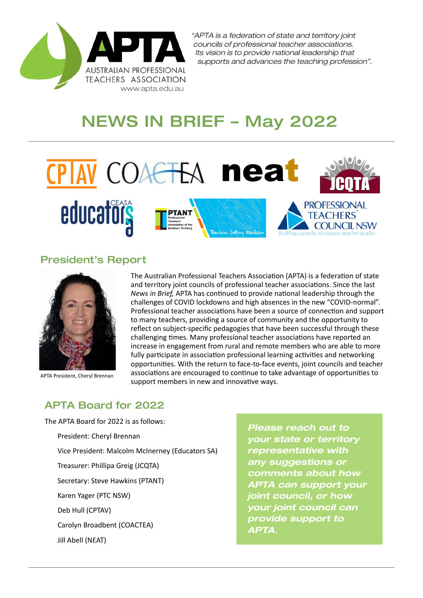

# NEWS IN BRIEF – May 2022



#### President's Report



APTA President, Cheryl Brennan

The Australian Professional Teachers Association (APTA) is a federation of state and territory joint councils of professional teacher associations. Since the last *News in Brief,* APTA has continued to provide national leadership through the challenges of COVID lockdowns and high absences in the new "COVID-normal". Professional teacher associations have been a source of connection and support to many teachers, providing a source of community and the opportunity to reflect on subject-specific pedagogies that have been successful through these challenging times. Many professional teacher associations have reported an increase in engagement from rural and remote members who are able to more fully participate in association professional learning activities and networking opportunities. With the return to face-to-face events, joint councils and teacher associations are encouraged to continue to take advantage of opportunities to support members in new and innovative ways.

#### APTA Board for 2022

The APTA Board for 2022 is as follows: President: Cheryl Brennan Vice President: Malcolm McInerney (Educators SA) Treasurer: Phillipa Greig (JCQTA) Secretary: Steve Hawkins (PTANT) Karen Yager (PTC NSW) Deb Hull (CPTAV) Carolyn Broadbent (COACTEA) Jill Abell (NEAT)

*Please reach out to your state or territory representative with any suggestions or comments about how APTA can support your joint council, or how your joint council can provide support to APTA.*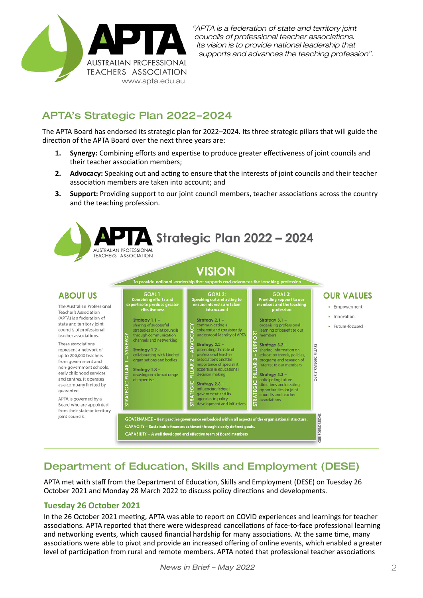

#### APTA's Strategic Plan 2022–2024

The APTA Board has endorsed its strategic plan for 2022–2024. Its three strategic pillars that will guide the direction of the APTA Board over the next three years are:

- **1. Synergy:** Combining efforts and expertise to produce greater effectiveness of joint councils and their teacher association members;
- **2. Advocacy:** Speaking out and acting to ensure that the interests of joint councils and their teacher association members are taken into account; and
- **3. Support:** Providing support to our joint council members, teacher associations across the country and the teaching profession.



# Department of Education, Skills and Employment (DESE)

APTA met with staff from the Department of Education, Skills and Employment (DESE) on Tuesday 26 October 2021 and Monday 28 March 2022 to discuss policy directions and developments.

#### **Tuesday 26 October 2021**

In the 26 October 2021 meeting, APTA was able to report on COVID experiences and learnings for teacher associations. APTA reported that there were widespread cancellations of face-to-face professional learning and networking events, which caused financial hardship for many associations. At the same time, many associations were able to pivot and provide an increased offering of online events, which enabled a greater level of participation from rural and remote members. APTA noted that professional teacher associations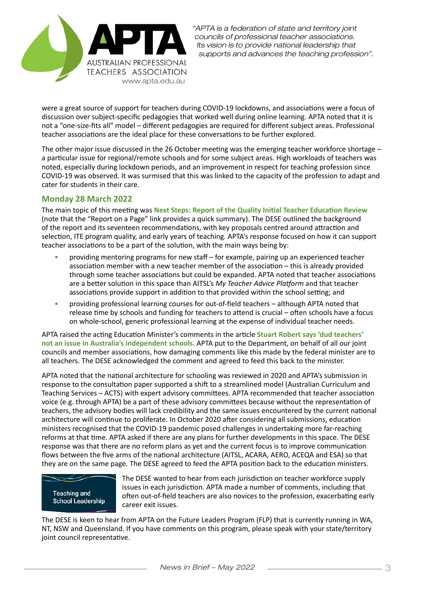

were a great source of support for teachers during COVID-19 lockdowns, and associations were a focus of discussion over subject-specific pedagogies that worked well during online learning. APTA noted that it is not a "one-size-fits all" model – different pedagogies are required for different subject areas. Professional teacher associations are the ideal place for these conversations to be further explored.

The other major issue discussed in the 26 October meeting was the emerging teacher workforce shortage – a particular issue for regional/remote schools and for some subject areas. High workloads of teachers was noted, especially during lockdown periods, and an improvement in respect for teaching profession since COVID-19 was observed. It was surmised that this was linked to the capacity of the profession to adapt and cater for students in their care.

#### **Monday 28 March 2022**

The main topic of this meeting was **Next Steps: Report of the Quality Initial Teacher Education Review** (note that the "Report on a Page" link provides a quick summary). The DESE outlined the background of the report and its seventeen recommendations, with key proposals centred around attraction and selection, ITE program quality, and early years of teaching. APTA's response focused on how it can support teacher associations to be a part of the solution, with the main ways being by:

- providing mentoring programs for new staff for example, pairing up an experienced teacher association member with a new teacher member of the association – this is already provided through some teacher associations but could be expanded. APTA noted that teacher associations are a better solution in this space than AITSL's *My Teacher Advice Platform* and that teacher associations provide support in addition to that provided within the school setting; and
- providing professional learning courses for out-of-field teachers although APTA noted that release time by schools and funding for teachers to attend is crucial – often schools have a focus on whole-school, generic professional learning at the expense of individual teacher needs.

APTA raised the acting Education Minister's comments in the article **Stuart Robert says 'dud teachers' not an issue in Australia's independent schools**. APTA put to the Department, on behalf of all our joint councils and member associations, how damaging comments like this made by the federal minister are to all teachers. The DESE acknowledged the comment and agreed to feed this back to the minister.

APTA noted that the national architecture for schooling was reviewed in 2020 and APTA's submission in response to the consultation paper supported a shift to a streamlined model (Australian Curriculum and Teaching Services – ACTS) with expert advisory committees. APTA recommended that teacher association voice (e.g. through APTA) be a part of these advisory committees because without the representation of teachers, the advisory bodies will lack credibility and the same issues encountered by the current national architecture will continue to proliferate. In October 2020 after considering all submissions, education ministers recognised that the COVID-19 pandemic posed challenges in undertaking more far-reaching reforms at that time. APTA asked if there are any plans for further developments in this space. The DESE response was that there are no reform plans as yet and the current focus is to improve communication flows between the five arms of the national architecture (AITSL, ACARA, AERO, ACEQA and ESA) so that they are on the same page. The DESE agreed to feed the APTA position back to the education ministers.



The DESE wanted to hear from each jurisdiction on teacher workforce supply issues in each jurisdiction. APTA made a number of comments, including that often out-of-field teachers are also novices to the profession, exacerbating early career exit issues.

The DESE is keen to hear from APTA on the Future Leaders Program (FLP) that is currently running in WA, NT, NSW and Queensland. If you have comments on this program, please speak with your state/territory joint council representative.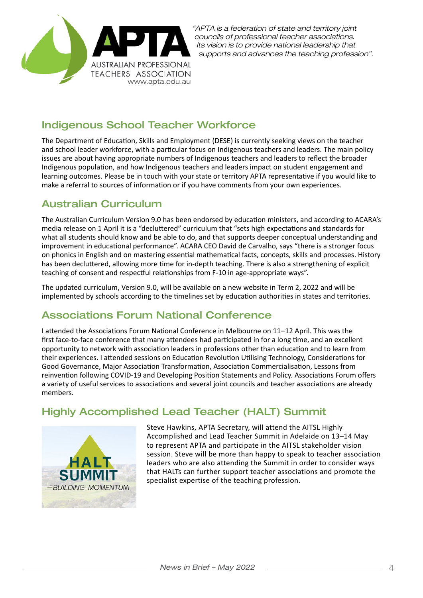

#### Indigenous School Teacher Workforce

The Department of Education, Skills and Employment (DESE) is currently seeking views on the teacher and school leader workforce, with a particular focus on Indigenous teachers and leaders. The main policy issues are about having appropriate numbers of Indigenous teachers and leaders to reflect the broader Indigenous population, and how Indigenous teachers and leaders impact on student engagement and learning outcomes. Please be in touch with your state or territory APTA representative if you would like to make a referral to sources of information or if you have comments from your own experiences.

## Australian Curriculum

The Australian Curriculum Version 9.0 has been endorsed by education ministers, and according to ACARA's media release on 1 April it is a "decluttered" curriculum that "sets high expectations and standards for what all students should know and be able to do, and that supports deeper conceptual understanding and improvement in educational performance". ACARA CEO David de Carvalho, says "there is a stronger focus on phonics in English and on mastering essential mathematical facts, concepts, skills and processes. History has been decluttered, allowing more time for in-depth teaching. There is also a strengthening of explicit teaching of consent and respectful relationships from F-10 in age-appropriate ways".

The updated curriculum, Version 9.0, will be available on a new website in Term 2, 2022 and will be implemented by schools according to the timelines set by education authorities in states and territories.

# Associations Forum National Conference

I attended the Associations Forum National Conference in Melbourne on 11–12 April. This was the first face-to-face conference that many attendees had participated in for a long time, and an excellent opportunity to network with association leaders in professions other than education and to learn from their experiences. I attended sessions on Education Revolution Utilising Technology, Considerations for Good Governance, Major Association Transformation, Association Commercialisation, Lessons from reinvention following COVID-19 and Developing Position Statements and Policy. Associations Forum offers a variety of useful services to associations and several joint councils and teacher associations are already members.

# Highly Accomplished Lead Teacher (HALT) Summit



Steve Hawkins, APTA Secretary, will attend the AITSL Highly Accomplished and Lead Teacher Summit in Adelaide on 13–14 May to represent APTA and participate in the AITSL stakeholder vision session. Steve will be more than happy to speak to teacher association leaders who are also attending the Summit in order to consider ways that HALTs can further support teacher associations and promote the specialist expertise of the teaching profession.